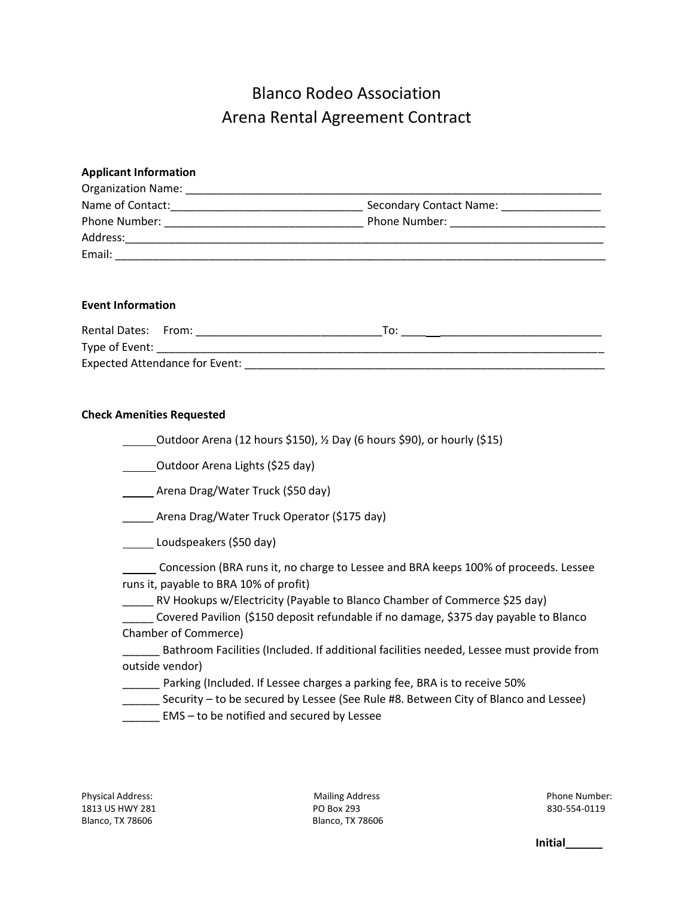# Blanco Rodeo Association Arena Rental Agreement Contract

## **Applicant Information**  Organization Name: \_\_\_\_\_\_\_\_\_\_\_\_\_\_\_\_\_\_\_\_\_\_\_\_\_\_\_\_\_\_\_\_\_\_\_\_\_\_\_\_\_\_\_\_\_\_\_\_\_\_\_\_\_\_\_\_\_\_\_\_\_\_\_\_\_\_\_ Name of Contact:\_\_\_\_\_\_\_\_\_\_\_\_\_\_\_\_\_\_\_\_\_\_\_\_\_\_\_\_\_\_\_ Secondary Contact Name: \_\_\_\_\_\_\_\_\_\_\_\_\_\_\_\_ Phone Number: \_\_\_\_\_\_\_\_\_\_\_\_\_\_\_\_\_\_\_\_\_\_\_\_\_\_\_\_\_\_\_\_ Phone Number: \_\_\_\_\_\_\_\_\_\_\_\_\_\_\_\_\_\_\_\_\_\_\_\_\_ Address:\_\_\_\_\_\_\_\_\_\_\_\_\_\_\_\_\_\_\_\_\_\_\_\_\_\_\_\_\_\_\_\_\_\_\_\_\_\_\_\_\_\_\_\_\_\_\_\_\_\_\_\_\_\_\_\_\_\_\_\_\_\_\_\_\_\_\_\_\_\_\_\_\_\_\_\_\_ Email: \_\_\_\_\_\_\_\_\_\_\_\_\_\_\_\_\_\_\_\_\_\_\_\_\_\_\_\_\_\_\_\_\_\_\_\_\_\_\_\_\_\_\_\_\_\_\_\_\_\_\_\_\_\_\_\_\_\_\_\_\_\_\_\_\_\_\_\_\_\_\_\_\_\_\_\_\_\_\_

#### **Event Information**

| Rental Dates: From:            |  |  |  |  |  |
|--------------------------------|--|--|--|--|--|
| Type of Event:                 |  |  |  |  |  |
| Expected Attendance for Event: |  |  |  |  |  |

#### **Check Amenities Requested**

| _Outdoor Arena (12 hours \$150), 1/2 Day (6 hours \$90), or hourly (\$15) |  |
|---------------------------------------------------------------------------|--|
|                                                                           |  |

Outdoor Arena Lights (\$25 day)

Arena Drag/Water Truck (\$50 day)

\_\_\_\_\_ Arena Drag/Water Truck Operator (\$175 day)

Loudspeakers (\$50 day)

 Concession (BRA runs it, no charge to Lessee and BRA keeps 100% of proceeds. Lessee runs it, payable to BRA 10% of profit)

\_\_\_\_\_ RV Hookups w/Electricity (Payable to Blanco Chamber of Commerce \$25 day)

\_\_\_\_\_ Covered Pavilion (\$150 deposit refundable if no damage, \$375 day payable to Blanco Chamber of Commerce)

\_\_\_\_\_\_ Bathroom Facilities (Included. If additional facilities needed, Lessee must provide from outside vendor)

- **\_\_\_\_\_\_** Parking (Included. If Lessee charges a parking fee, BRA is to receive 50%
- \_\_\_\_\_\_ Security to be secured by Lessee (See Rule #8. Between City of Blanco and Lessee)
- EMS to be notified and secured by Lessee

Physical Address: The Contract of Mailing Address Phone Number: Phone Number: 1813 US HWY 281 **PO Box 293 PO Box 293 830-554-0119** Blanco, TX 78606 Blanco, TX 78606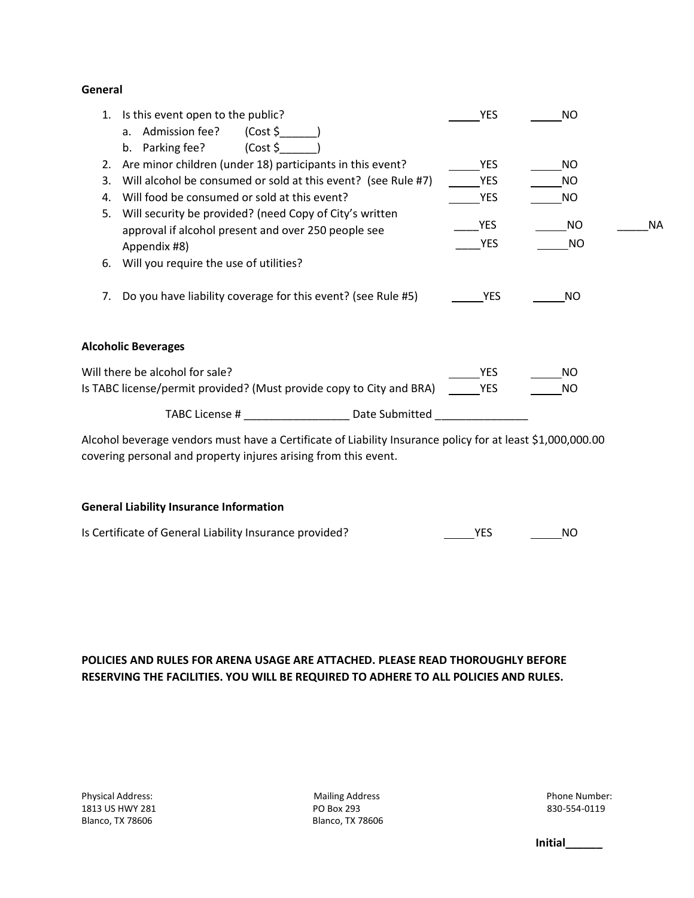#### **General**

| 1. | Is this event open to the public?                                                                              | <b>YES</b> | NO. |           |
|----|----------------------------------------------------------------------------------------------------------------|------------|-----|-----------|
|    | a. Admission fee?<br>(Cost \$                                                                                  |            |     |           |
|    | (Cost \$<br>b. Parking fee?                                                                                    |            |     |           |
| 2. | Are minor children (under 18) participants in this event?                                                      | <b>YES</b> | NO. |           |
| 3. | Will alcohol be consumed or sold at this event? (see Rule #7)                                                  | <b>YES</b> | NO. |           |
| 4. | Will food be consumed or sold at this event?                                                                   | YES        | NO. |           |
| 5. | Will security be provided? (need Copy of City's written<br>approval if alcohol present and over 250 people see | YES        | NO. | <b>NA</b> |
|    | Appendix #8)                                                                                                   | YES        | NO. |           |
| 6. | Will you require the use of utilities?                                                                         |            |     |           |
| 7. | Do you have liability coverage for this event? (see Rule #5)                                                   | <b>YES</b> | NO. |           |
|    | <b>Alcoholic Beverages</b>                                                                                     |            |     |           |
|    | Will there be alcohol for sale?                                                                                | YES.       | NO. |           |
|    | Is TABC license/permit provided? (Must provide copy to City and BRA)                                           | <b>YES</b> | NO. |           |
|    | TABC License # Date Submitted                                                                                  |            |     |           |
|    | Alcohol beverage vendors must have a Certificate of Liability Insurance policy for at least \$1,000,000.00     |            |     |           |

Alcohol beverage vendors must have a Certificate of Liability Insurance policy for at least \$1,000,000.00 covering personal and property injures arising from this event.

#### **General Liability Insurance Information**

| Is Certificate of General Liability Insurance provided? |  |  |
|---------------------------------------------------------|--|--|
|---------------------------------------------------------|--|--|

### **POLICIES AND RULES FOR ARENA USAGE ARE ATTACHED. PLEASE READ THOROUGHLY BEFORE RESERVING THE FACILITIES. YOU WILL BE REQUIRED TO ADHERE TO ALL POLICIES AND RULES.**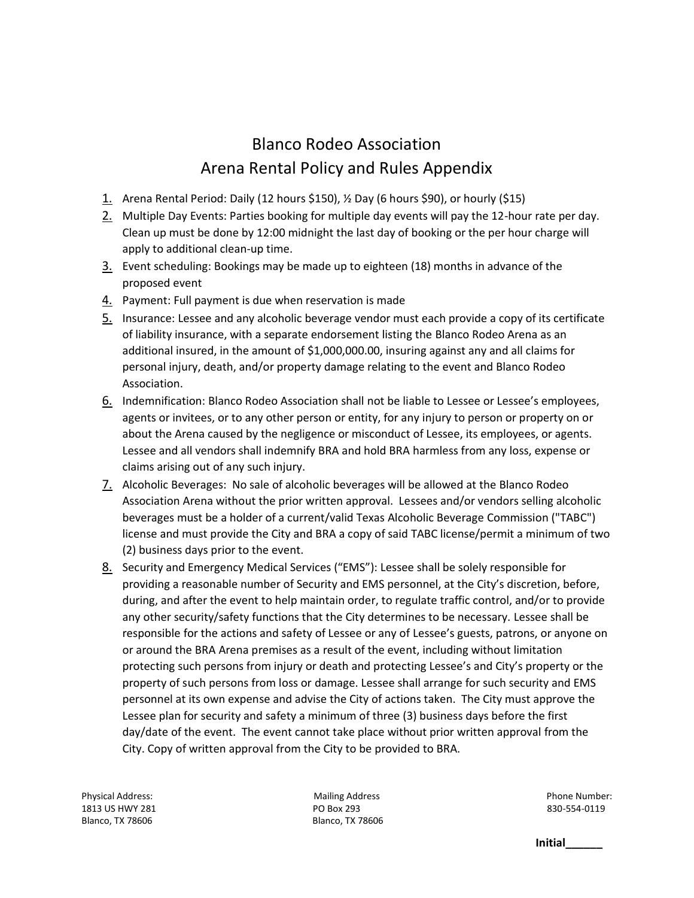## Blanco Rodeo Association Arena Rental Policy and Rules Appendix

- 1. Arena Rental Period: Daily (12 hours \$150), ½ Day (6 hours \$90), or hourly (\$15)
- 2. Multiple Day Events: Parties booking for multiple day events will pay the 12-hour rate per day. Clean up must be done by 12:00 midnight the last day of booking or the per hour charge will apply to additional clean-up time.
- 3. Event scheduling: Bookings may be made up to eighteen (18) months in advance of the proposed event
- 4. Payment: Full payment is due when reservation is made
- 5. Insurance: Lessee and any alcoholic beverage vendor must each provide a copy of its certificate of liability insurance, with a separate endorsement listing the Blanco Rodeo Arena as an additional insured, in the amount of \$1,000,000.00, insuring against any and all claims for personal injury, death, and/or property damage relating to the event and Blanco Rodeo Association.
- 6. Indemnification: Blanco Rodeo Association shall not be liable to Lessee or Lessee's employees, agents or invitees, or to any other person or entity, for any injury to person or property on or about the Arena caused by the negligence or misconduct of Lessee, its employees, or agents. Lessee and all vendors shall indemnify BRA and hold BRA harmless from any loss, expense or claims arising out of any such injury.
- 7. Alcoholic Beverages: No sale of alcoholic beverages will be allowed at the Blanco Rodeo Association Arena without the prior written approval. Lessees and/or vendors selling alcoholic beverages must be a holder of a current/valid Texas Alcoholic Beverage Commission ("TABC") license and must provide the City and BRA a copy of said TABC license/permit a minimum of two (2) business days prior to the event.
- 8. Security and Emergency Medical Services ("EMS"): Lessee shall be solely responsible for providing a reasonable number of Security and EMS personnel, at the City's discretion, before, during, and after the event to help maintain order, to regulate traffic control, and/or to provide any other security/safety functions that the City determines to be necessary. Lessee shall be responsible for the actions and safety of Lessee or any of Lessee's guests, patrons, or anyone on or around the BRA Arena premises as a result of the event, including without limitation protecting such persons from injury or death and protecting Lessee's and City's property or the property of such persons from loss or damage. Lessee shall arrange for such security and EMS personnel at its own expense and advise the City of actions taken. The City must approve the Lessee plan for security and safety a minimum of three (3) business days before the first day/date of the event. The event cannot take place without prior written approval from the City. Copy of written approval from the City to be provided to BRA.

1813 US HWY 281 **PO Box 293 PO Box 293 830-554-0119** Blanco, TX 78606 Blanco, TX 78606

Physical Address: The Contract of Mailing Address Phone Number: Phone Number: Phone Number: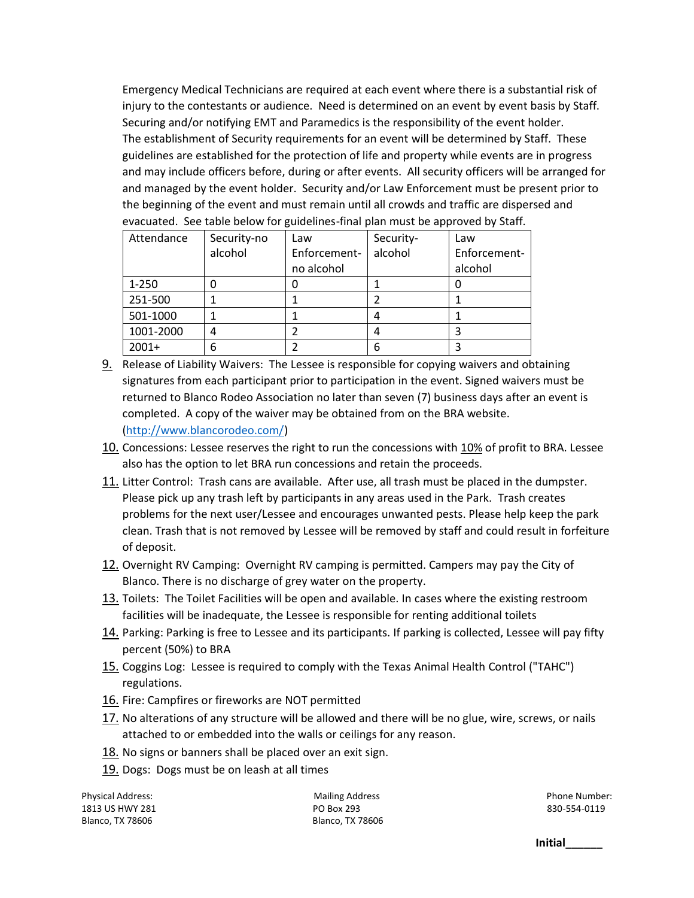Emergency Medical Technicians are required at each event where there is a substantial risk of injury to the contestants or audience. Need is determined on an event by event basis by Staff. Securing and/or notifying EMT and Paramedics is the responsibility of the event holder. The establishment of Security requirements for an event will be determined by Staff. These guidelines are established for the protection of life and property while events are in progress and may include officers before, during or after events. All security officers will be arranged for and managed by the event holder. Security and/or Law Enforcement must be present prior to the beginning of the event and must remain until all crowds and traffic are dispersed and evacuated. See table below for guidelines-final plan must be approved by Staff.

| Attendance | Security-no | Law          | Security- | Law          |
|------------|-------------|--------------|-----------|--------------|
|            | alcohol     | Enforcement- | alcohol   | Enforcement- |
|            |             | no alcohol   |           | alcohol      |
| $1 - 250$  |             |              |           |              |
| 251-500    |             |              |           |              |
| 501-1000   |             |              |           |              |
| 1001-2000  | 4           |              |           |              |
| $2001+$    | 6           |              | 6         |              |

- 9. Release of Liability Waivers: The Lessee is responsible for copying waivers and obtaining signatures from each participant prior to participation in the event. Signed waivers must be returned to Blanco Rodeo Association no later than seven (7) business days after an event is completed. A copy of the waiver may be obtained from on the BRA website. [\(http://www.blancorodeo.com/\)](http://www.blancorodeo.com/)
- 10. Concessions: Lessee reserves the right to run the concessions with 10% of profit to BRA. Lessee also has the option to let BRA run concessions and retain the proceeds.
- 11. Litter Control: Trash cans are available. After use, all trash must be placed in the dumpster. Please pick up any trash left by participants in any areas used in the Park. Trash creates problems for the next user/Lessee and encourages unwanted pests. Please help keep the park clean. Trash that is not removed by Lessee will be removed by staff and could result in forfeiture of deposit.
- 12. Overnight RV Camping: Overnight RV camping is permitted. Campers may pay the City of Blanco. There is no discharge of grey water on the property.
- 13. Toilets: The Toilet Facilities will be open and available. In cases where the existing restroom facilities will be inadequate, the Lessee is responsible for renting additional toilets
- 14. Parking: Parking is free to Lessee and its participants. If parking is collected, Lessee will pay fifty percent (50%) to BRA
- 15. Coggins Log: Lessee is required to comply with the Texas Animal Health Control ("TAHC") regulations.
- 16. Fire: Campfires or fireworks are NOT permitted
- 17. No alterations of any structure will be allowed and there will be no glue, wire, screws, or nails attached to or embedded into the walls or ceilings for any reason.
- 18. No signs or banners shall be placed over an exit sign.
- 19. Dogs: Dogs must be on leash at all times

Physical Address: The Contract of Mailing Address Phone Number: Phone Number: Phone Number: 1813 US HWY 281 **PO Box 293 PO Box 293 830-554-0119** Blanco, TX 78606 Blanco, TX 78606